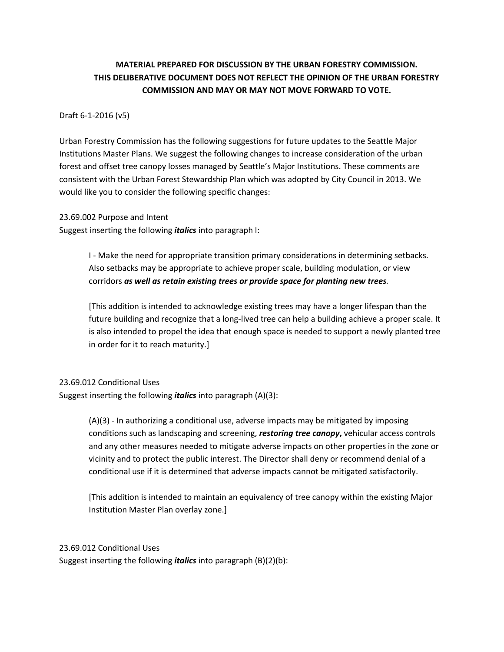# **MATERIAL PREPARED FOR DISCUSSION BY THE URBAN FORESTRY COMMISSION. THIS DELIBERATIVE DOCUMENT DOES NOT REFLECT THE OPINION OF THE URBAN FORESTRY COMMISSION AND MAY OR MAY NOT MOVE FORWARD TO VOTE.**

### Draft 6-1-2016 (v5)

Urban Forestry Commission has the following suggestions for future updates to the Seattle Major Institutions Master Plans. We suggest the following changes to increase consideration of the urban forest and offset tree canopy losses managed by Seattle's Major Institutions. These comments are consistent with the Urban Forest Stewardship Plan which was adopted by City Council in 2013. We would like you to consider the following specific changes:

23.69.002 Purpose and Intent

Suggest inserting the following *italics* into paragraph I:

I - Make the need for appropriate transition primary considerations in determining setbacks. Also setbacks may be appropriate to achieve proper scale, building modulation, or view corridors *as well as retain existing trees or provide space for planting new trees.*

[This addition is intended to acknowledge existing trees may have a longer lifespan than the future building and recognize that a long-lived tree can help a building achieve a proper scale. It is also intended to propel the idea that enough space is needed to support a newly planted tree in order for it to reach maturity.]

### 23.69.012 Conditional Uses

Suggest inserting the following *italics* into paragraph (A)(3):

(A)(3) - In authorizing a conditional use, adverse impacts may be mitigated by imposing conditions such as landscaping and screening, *restoring tree canopy***,** vehicular access controls and any other measures needed to mitigate adverse impacts on other properties in the zone or vicinity and to protect the public interest. The Director shall deny or recommend denial of a conditional use if it is determined that adverse impacts cannot be mitigated satisfactorily.

[This addition is intended to maintain an equivalency of tree canopy within the existing Major Institution Master Plan overlay zone.]

#### 23.69.012 Conditional Uses

Suggest inserting the following *italics* into paragraph (B)(2)(b):